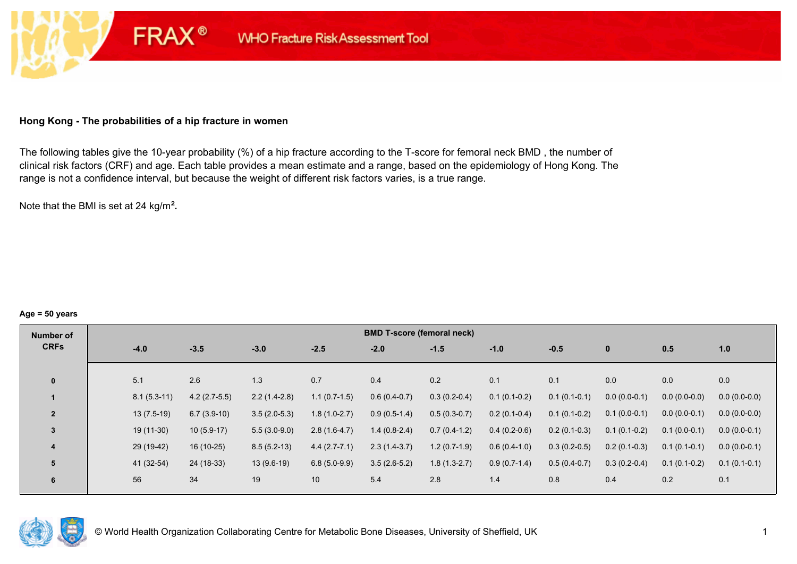## **Hong Kong - The probabilities of a hip fracture in women**

**FRAX®** 

The following tables give the 10-year probability (%) of a hip fracture according to the T-score for femoral neck BMD , the number of clinical risk factors (CRF) and age. Each table provides a mean estimate and a range, based on the epidemiology of Hong Kong. The range is not a confidence interval, but because the weight of different risk factors varies, is a true range.

Note that the BMI is set at 24 kg/m²**.** 

#### **Age = 50 years**

| Number of      |        |               |                |                |                | <b>BMD T-score (femoral neck)</b> |                |                |                |                |                |                |
|----------------|--------|---------------|----------------|----------------|----------------|-----------------------------------|----------------|----------------|----------------|----------------|----------------|----------------|
| <b>CRFs</b>    | $-4.0$ |               | $-3.5$         | $-3.0$         | $-2.5$         | $-2.0$                            | $-1.5$         | $-1.0$         | $-0.5$         | $\mathbf{0}$   | 0.5            | 1.0            |
|                |        |               |                |                |                |                                   |                |                |                |                |                |                |
| $\mathbf{0}$   | 5.1    |               | 2.6            | 1.3            | 0.7            | 0.4                               | 0.2            | 0.1            | 0.1            | 0.0            | 0.0            | 0.0            |
|                |        | $8.1(5.3-11)$ | $4.2(2.7-5.5)$ | $2.2(1.4-2.8)$ | $1.1(0.7-1.5)$ | $0.6(0.4-0.7)$                    | $0.3(0.2-0.4)$ | $0.1(0.1-0.2)$ | $0.1(0.1-0.1)$ | $0.0(0.0-0.1)$ | $0.0(0.0-0.0)$ | $0.0(0.0-0.0)$ |
| $\overline{2}$ |        | $13(7.5-19)$  | $6.7(3.9-10)$  | $3.5(2.0-5.3)$ | $1.8(1.0-2.7)$ | $0.9(0.5-1.4)$                    | $0.5(0.3-0.7)$ | $0.2(0.1-0.4)$ | $0.1(0.1-0.2)$ | $0.1(0.0-0.1)$ | $0.0(0.0-0.1)$ | $0.0(0.0-0.0)$ |
| $\overline{3}$ |        | 19 (11-30)    | $10(5.9-17)$   | $5.5(3.0-9.0)$ | $2.8(1.6-4.7)$ | $1.4(0.8-2.4)$                    | $0.7(0.4-1.2)$ | $0.4(0.2-0.6)$ | $0.2(0.1-0.3)$ | $0.1(0.1-0.2)$ | $0.1(0.0-0.1)$ | $0.0(0.0-0.1)$ |
| 4              |        | 29 (19-42)    | $16(10-25)$    | $8.5(5.2-13)$  | $4.4(2.7-7.1)$ | $2.3(1.4-3.7)$                    | $1.2(0.7-1.9)$ | $0.6(0.4-1.0)$ | $0.3(0.2-0.5)$ | $0.2(0.1-0.3)$ | $0.1(0.1-0.1)$ | $0.0(0.0-0.1)$ |
| 5              |        | 41 (32-54)    | 24 (18-33)     | $13(9.6-19)$   | $6.8(5.0-9.9)$ | $3.5(2.6-5.2)$                    | $1.8(1.3-2.7)$ | $0.9(0.7-1.4)$ | $0.5(0.4-0.7)$ | $0.3(0.2-0.4)$ | $0.1(0.1-0.2)$ | $0.1(0.1-0.1)$ |
| 6              | 56     |               | 34             | 19             | 10             | 5.4                               | 2.8            | 1.4            | 0.8            | 0.4            | 0.2            | 0.1            |

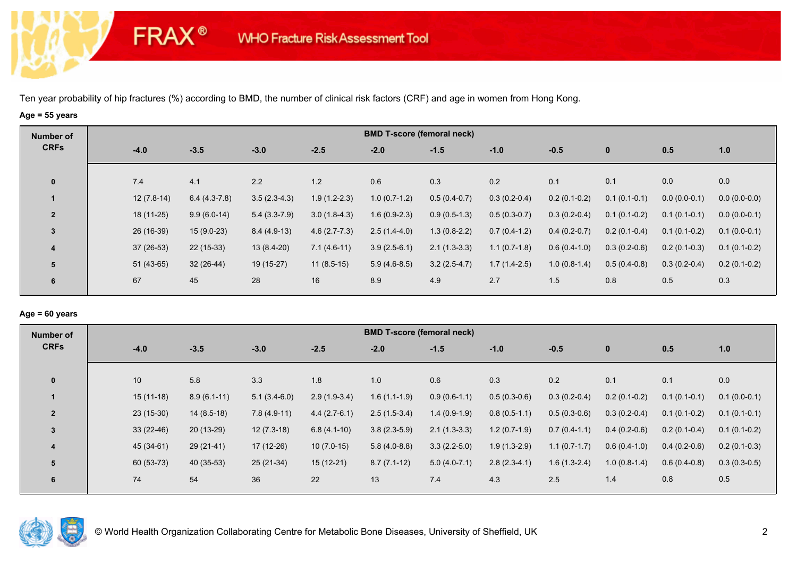# **Age = 55 years**

**FRAX®** 

| Number of      |              |                |                |                |                | <b>BMD T-score (femoral neck)</b> |                |                |                |                |                |
|----------------|--------------|----------------|----------------|----------------|----------------|-----------------------------------|----------------|----------------|----------------|----------------|----------------|
| <b>CRFs</b>    | $-4.0$       | $-3.5$         | $-3.0$         | $-2.5$         | $-2.0$         | $-1.5$                            | $-1.0$         | $-0.5$         | $\mathbf 0$    | 0.5            | 1.0            |
|                |              |                | 2.2            | 1.2            |                |                                   |                |                |                |                |                |
| $\mathbf 0$    | 7.4          | 4.1            |                |                | 0.6            | 0.3                               | 0.2            | 0.1            | 0.1            | 0.0            | 0.0            |
|                | $12(7.8-14)$ | $6.4(4.3-7.8)$ | $3.5(2.3-4.3)$ | $1.9(1.2-2.3)$ | $1.0(0.7-1.2)$ | $0.5(0.4-0.7)$                    | $0.3(0.2-0.4)$ | $0.2(0.1-0.2)$ | $0.1(0.1-0.1)$ | $0.0(0.0-0.1)$ | $0.0(0.0-0.0)$ |
| $\overline{2}$ | 18 (11-25)   | $9.9(6.0-14)$  | $5.4(3.3-7.9)$ | $3.0(1.8-4.3)$ | $1.6(0.9-2.3)$ | $0.9(0.5-1.3)$                    | $0.5(0.3-0.7)$ | $0.3(0.2-0.4)$ | $0.1(0.1-0.2)$ | $0.1(0.1-0.1)$ | $0.0(0.0-0.1)$ |
| $\mathbf{3}$   | 26 (16-39)   | $15(9.0-23)$   | $8.4(4.9-13)$  | $4.6(2.7-7.3)$ | $2.5(1.4-4.0)$ | $1.3(0.8-2.2)$                    | $0.7(0.4-1.2)$ | $0.4(0.2-0.7)$ | $0.2(0.1-0.4)$ | $0.1(0.1-0.2)$ | $0.1(0.0-0.1)$ |
| 4              | $37(26-53)$  | $22(15-33)$    | $13(8.4-20)$   | $7.1(4.6-11)$  | $3.9(2.5-6.1)$ | $2.1(1.3-3.3)$                    | $1.1(0.7-1.8)$ | $0.6(0.4-1.0)$ | $0.3(0.2-0.6)$ | $0.2(0.1-0.3)$ | $0.1(0.1-0.2)$ |
| 5              | $51(43-65)$  | $32(26-44)$    | 19 (15-27)     | $11(8.5-15)$   | $5.9(4.6-8.5)$ | $3.2(2.5-4.7)$                    | $1.7(1.4-2.5)$ | $1.0(0.8-1.4)$ | $0.5(0.4-0.8)$ | $0.3(0.2-0.4)$ | $0.2(0.1-0.2)$ |
| 6              | 67           | 45             | 28             | 16             | 8.9            | 4.9                               | 2.7            | 1.5            | 0.8            | 0.5            | 0.3            |
|                |              |                |                |                |                |                                   |                |                |                |                |                |

#### **Age = 60 years**

| <b>CRFs</b><br>$-3.5$<br>$-2.5$<br>$-3.0$<br>$-2.0$<br>$-1.5$<br>$-4.0$<br>$-1.0$<br>$-0.5$<br>$\mathbf{0}$<br>0.5<br>1.0                                                                                        |  |
|------------------------------------------------------------------------------------------------------------------------------------------------------------------------------------------------------------------|--|
|                                                                                                                                                                                                                  |  |
|                                                                                                                                                                                                                  |  |
| 0.1<br>0.0<br>10<br>0.1<br>$\mathbf 0$<br>5.8<br>3.3<br>1.8<br>1.0<br>0.3<br>0.2<br>0.6                                                                                                                          |  |
| $15(11-18)$<br>$8.9(6.1-11)$<br>$5.1(3.4-6.0)$<br>$0.9(0.6-1.1)$<br>$0.5(0.3-0.6)$<br>$0.3(0.2-0.4)$<br>$2.9(1.9-3.4)$<br>$1.6(1.1-1.9)$<br>$0.2(0.1-0.2)$<br>$0.1(0.1-0.1)$<br>$0.1(0.0-0.1)$                   |  |
| $\overline{2}$<br>$23(15-30)$<br>$1.4(0.9-1.9)$<br>$14(8.5-18)$<br>$7.8(4.9-11)$<br>$4.4(2.7-6.1)$<br>$2.5(1.5-3.4)$<br>$0.8(0.5-1.1)$<br>$0.5(0.3-0.6)$<br>$0.3(0.2-0.4)$<br>$0.1(0.1-0.2)$<br>$0.1(0.1-0.1)$   |  |
| $33(22-46)$<br>$20(13-29)$<br>$12(7.3-18)$<br>$3.8(2.3-5.9)$<br>$6.8(4.1-10)$<br>$2.1(1.3-3.3)$<br>$1.2(0.7-1.9)$<br>$0.7(0.4-1.1)$<br>$0.4(0.2-0.6)$<br>$0.2(0.1-0.4)$<br>$0.1(0.1-0.2)$<br>3                   |  |
| 45 (34-61)<br>17 (12-26)<br>$3.3(2.2-5.0)$<br>$29(21-41)$<br>$10(7.0-15)$<br>$5.8(4.0-8.8)$<br>$1.9(1.3-2.9)$<br>$0.6(0.4-1.0)$<br>$0.4(0.2-0.6)$<br>$0.2(0.1-0.3)$<br>$1.1(0.7-1.7)$<br>$\overline{\mathbf{4}}$ |  |
| 60 (53-73)<br>$2.8(2.3-4.1)$<br>$40(35-53)$<br>$25(21-34)$<br>$15(12-21)$<br>$8.7(7.1-12)$<br>$5.0(4.0-7.1)$<br>$1.6(1.3-2.4)$<br>$1.0(0.8-1.4)$<br>$0.3(0.3-0.5)$<br>$0.6(0.4-0.8)$<br>5                        |  |
| 36<br>22<br>13<br>74<br>54<br>2.5<br>7.4<br>4.3<br>0.8<br>0.5<br>1.4<br>6                                                                                                                                        |  |

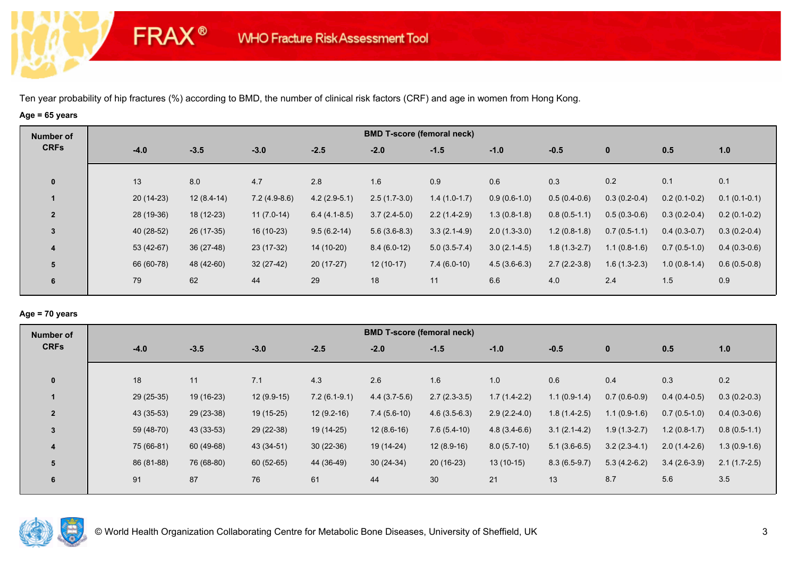# **Age = 65 years**

**FRAX®** 

| Number of      |             |              |                |                | <b>BMD T-score (femoral neck)</b> |                |                |                |                |                |                |
|----------------|-------------|--------------|----------------|----------------|-----------------------------------|----------------|----------------|----------------|----------------|----------------|----------------|
| <b>CRFs</b>    | $-4.0$      | $-3.5$       | $-3.0$         | $-2.5$         | $-2.0$                            | $-1.5$         | $-1.0$         | $-0.5$         | $\mathbf 0$    | 0.5            | 1.0            |
| $\mathbf 0$    | 13          | 8.0          | 4.7            | 2.8            | 1.6                               | 0.9            | 0.6            | 0.3            | 0.2            | 0.1            | 0.1            |
|                | $20(14-23)$ | $12(8.4-14)$ | $7.2(4.9-8.6)$ | $4.2(2.9-5.1)$ | $2.5(1.7-3.0)$                    | $1.4(1.0-1.7)$ | $0.9(0.6-1.0)$ | $0.5(0.4-0.6)$ | $0.3(0.2-0.4)$ | $0.2(0.1-0.2)$ | $0.1(0.1-0.1)$ |
| $\overline{2}$ | 28 (19-36)  | 18 (12-23)   | $11(7.0-14)$   | $6.4(4.1-8.5)$ | $3.7(2.4-5.0)$                    | $2.2(1.4-2.9)$ | $1.3(0.8-1.8)$ | $0.8(0.5-1.1)$ | $0.5(0.3-0.6)$ | $0.3(0.2-0.4)$ | $0.2(0.1-0.2)$ |
| $\overline{3}$ | 40 (28-52)  | 26 (17-35)   | 16 (10-23)     | $9.5(6.2-14)$  | $5.6(3.6-8.3)$                    | $3.3(2.1-4.9)$ | $2.0(1.3-3.0)$ | $1.2(0.8-1.8)$ | $0.7(0.5-1.1)$ | $0.4(0.3-0.7)$ | $0.3(0.2-0.4)$ |
| 4              | 53 (42-67)  | $36(27-48)$  | 23 (17-32)     | 14 (10-20)     | $8.4(6.0-12)$                     | $5.0(3.5-7.4)$ | $3.0(2.1-4.5)$ | $1.8(1.3-2.7)$ | $1.1(0.8-1.6)$ | $0.7(0.5-1.0)$ | $0.4(0.3-0.6)$ |
| 5              | 66 (60-78)  | 48 (42-60)   | $32(27-42)$    | $20(17-27)$    | $12(10-17)$                       | $7.4(6.0-10)$  | $4.5(3.6-6.3)$ | $2.7(2.2-3.8)$ | $1.6(1.3-2.3)$ | $1.0(0.8-1.4)$ | $0.6(0.5-0.8)$ |
| 6              | 79          | 62           | 44             | 29             | 18                                | 11             | 6.6            | 4.0            | 2.4            | 1.5            | 0.9            |

## **Age = 70 years**

| Number of      |            | <b>BMD T-score (femoral neck)</b> |              |                |                |                |                |                |                |                |                |  |  |
|----------------|------------|-----------------------------------|--------------|----------------|----------------|----------------|----------------|----------------|----------------|----------------|----------------|--|--|
| <b>CRFs</b>    | $-4.0$     | $-3.5$                            | $-3.0$       | $-2.5$         | $-2.0$         | $-1.5$         | $-1.0$         | $-0.5$         | $\mathbf 0$    | 0.5            | 1.0            |  |  |
|                |            |                                   |              |                |                |                |                |                |                |                |                |  |  |
| $\mathbf{0}$   | 18         | 11                                | 7.1          | 4.3            | 2.6            | 1.6            | 1.0            | 0.6            | 0.4            | 0.3            | 0.2            |  |  |
|                | 29 (25-35) | 19 (16-23)                        | $12(9.9-15)$ | $7.2(6.1-9.1)$ | $4.4(3.7-5.6)$ | $2.7(2.3-3.5)$ | $1.7(1.4-2.2)$ | $1.1(0.9-1.4)$ | $0.7(0.6-0.9)$ | $0.4(0.4-0.5)$ | $0.3(0.2-0.3)$ |  |  |
| $\overline{2}$ | 43 (35-53) | 29 (23-38)                        | 19 (15-25)   | $12(9.2-16)$   | $7.4(5.6-10)$  | $4.6(3.5-6.3)$ | $2.9(2.2-4.0)$ | $1.8(1.4-2.5)$ | $1.1(0.9-1.6)$ | $0.7(0.5-1.0)$ | $0.4(0.3-0.6)$ |  |  |
| $\overline{3}$ | 59 (48-70) | 43 (33-53)                        | 29 (22-38)   | 19 (14-25)     | $12(8.6-16)$   | $7.6(5.4-10)$  | $4.8(3.4-6.6)$ | $3.1(2.1-4.2)$ | $1.9(1.3-2.7)$ | $1.2(0.8-1.7)$ | $0.8(0.5-1.1)$ |  |  |
| 4              | 75 (66-81) | 60 (49-68)                        | 43 (34-51)   | $30(22-36)$    | 19 (14-24)     | $12(8.9-16)$   | $8.0(5.7-10)$  | $5.1(3.6-6.5)$ | $3.2(2.3-4.1)$ | $2.0(1.4-2.6)$ | $1.3(0.9-1.6)$ |  |  |
| 5              | 86 (81-88) | 76 (68-80)                        | 60 (52-65)   | 44 (36-49)     | $30(24-34)$    | $20(16-23)$    | $13(10-15)$    | $8.3(6.5-9.7)$ | $5.3(4.2-6.2)$ | $3.4(2.6-3.9)$ | $2.1(1.7-2.5)$ |  |  |
| 6              | 91         | 87                                | 76           | 61             | 44             | 30             | 21             | 13             | 8.7            | 5.6            | 3.5            |  |  |
|                |            |                                   |              |                |                |                |                |                |                |                |                |  |  |

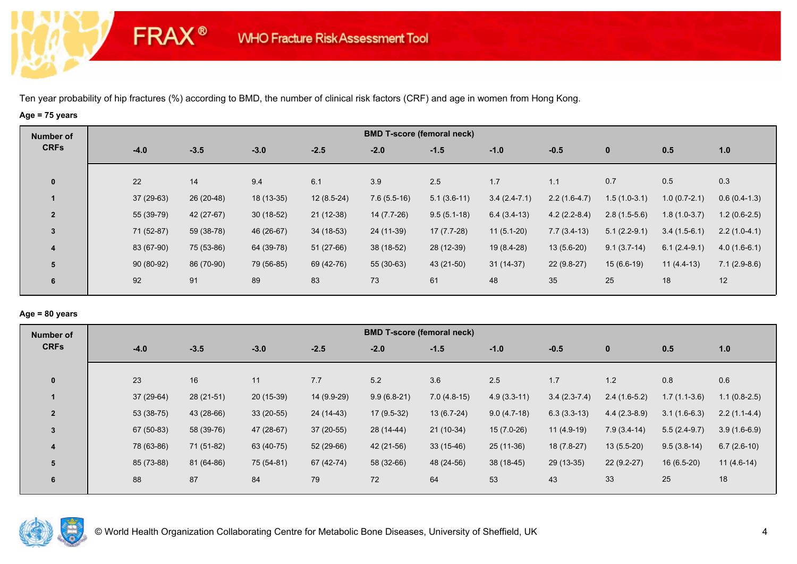# **Age = 75 years**

**FRAX®** 

| Number of      |        |             |            |             |              | <b>BMD T-score (femoral neck)</b> |               |                |                |                |                |                |
|----------------|--------|-------------|------------|-------------|--------------|-----------------------------------|---------------|----------------|----------------|----------------|----------------|----------------|
| <b>CRFs</b>    | $-4.0$ |             | $-3.5$     | $-3.0$      | $-2.5$       | $-2.0$                            | $-1.5$        | $-1.0$         | $-0.5$         | $\mathbf{0}$   | 0.5            | 1.0            |
| $\mathbf{0}$   | 22     |             | 14         | 9.4         | 6.1          | 3.9                               | 2.5           | 1.7            | 1.1            | 0.7            | 0.5            | 0.3            |
|                |        | $37(29-63)$ | 26 (20-48) | 18 (13-35)  | $12(8.5-24)$ | $7.6(5.5-16)$                     | $5.1(3.6-11)$ | $3.4(2.4-7.1)$ | $2.2(1.6-4.7)$ | $1.5(1.0-3.1)$ | $1.0(0.7-2.1)$ | $0.6(0.4-1.3)$ |
| $\overline{2}$ |        | 55 (39-79)  | 42 (27-67) | $30(18-52)$ | 21 (12-38)   | 14 (7.7-26)                       | $9.5(5.1-18)$ | $6.4(3.4-13)$  | $4.2(2.2-8.4)$ | $2.8(1.5-5.6)$ | $1.8(1.0-3.7)$ | $1.2(0.6-2.5)$ |
| $\overline{3}$ |        | 71 (52-87)  | 59 (38-78) | 46 (26-67)  | $34(18-53)$  | 24 (11-39)                        | $17(7.7-28)$  | $11(5.1-20)$   | $7.7(3.4-13)$  | $5.1(2.2-9.1)$ | $3.4(1.5-6.1)$ | $2.2(1.0-4.1)$ |
| 4              |        | 83 (67-90)  | 75 (53-86) | 64 (39-78)  | $51(27-66)$  | 38 (18-52)                        | 28 (12-39)    | 19 (8.4-28)    | $13(5.6-20)$   | $9.1(3.7-14)$  | $6.1(2.4-9.1)$ | $4.0(1.6-6.1)$ |
| 5              |        | $90(80-92)$ | 86 (70-90) | 79 (56-85)  | 69 (42-76)   | 55 (30-63)                        | 43 (21-50)    | $31(14-37)$    | $22(9.8-27)$   | $15(6.6-19)$   | $11(4.4-13)$   | $7.1(2.9-8.6)$ |
| 6              | 92     |             | 91         | 89          | 83           | 73                                | 61            | 48             | 35             | 25             | 18             | 12             |
|                |        |             |            |             |              |                                   |               |                |                |                |                |                |

## **Age = 80 years**

| Number of      | <b>BMD T-score (femoral neck)</b> |             |             |             |               |               |               |                |                |                |                |  |
|----------------|-----------------------------------|-------------|-------------|-------------|---------------|---------------|---------------|----------------|----------------|----------------|----------------|--|
| <b>CRFs</b>    | $-4.0$                            | $-3.5$      | $-3.0$      | $-2.5$      | $-2.0$        | $-1.5$        | $-1.0$        | $-0.5$         | $\mathbf{0}$   | 0.5            | 1.0            |  |
|                |                                   |             |             |             |               |               |               |                |                |                |                |  |
| $\mathbf{0}$   | 23                                | 16          | 11          | 7.7         | 5.2           | 3.6           | 2.5           | 1.7            | 1.2            | 0.8            | 0.6            |  |
|                | 37 (29-64)                        | $28(21-51)$ | $20(15-39)$ | 14 (9.9-29) | $9.9(6.8-21)$ | $7.0(4.8-15)$ | $4.9(3.3-11)$ | $3.4(2.3-7.4)$ | $2.4(1.6-5.2)$ | $1.7(1.1-3.6)$ | $1.1(0.8-2.5)$ |  |
| $\overline{2}$ | 53 (38-75)                        | 43 (28-66)  | $33(20-55)$ | 24 (14-43)  | $17(9.5-32)$  | $13(6.7-24)$  | $9.0(4.7-18)$ | $6.3(3.3-13)$  | $4.4(2.3-8.9)$ | $3.1(1.6-6.3)$ | $2.2(1.1-4.4)$ |  |
| 3              | 67 (50-83)                        | 58 (39-76)  | 47 (28-67)  | $37(20-55)$ | 28 (14-44)    | $21(10-34)$   | $15(7.0-26)$  | $11(4.9-19)$   | $7.9(3.4-14)$  | $5.5(2.4-9.7)$ | $3.9(1.6-6.9)$ |  |
| 4              | 78 (63-86)                        | 71 (51-82)  | 63 (40-75)  | 52 (29-66)  | 42 (21-56)    | $33(15-46)$   | $25(11-36)$   | $18(7.8-27)$   | $13(5.5-20)$   | $9.5(3.8-14)$  | $6.7(2.6-10)$  |  |
| 5              | 85 (73-88)                        | 81 (64-86)  | 75 (54-81)  | 67 (42-74)  | 58 (32-66)    | 48 (24-56)    | 38 (18-45)    | 29 (13-35)     | $22(9.2-27)$   | $16(6.5-20)$   | $11(4.6-14)$   |  |
| 6              | 88                                | 87          | 84          | 79          | 72            | 64            | 53            | 43             | 33             | 25             | 18             |  |